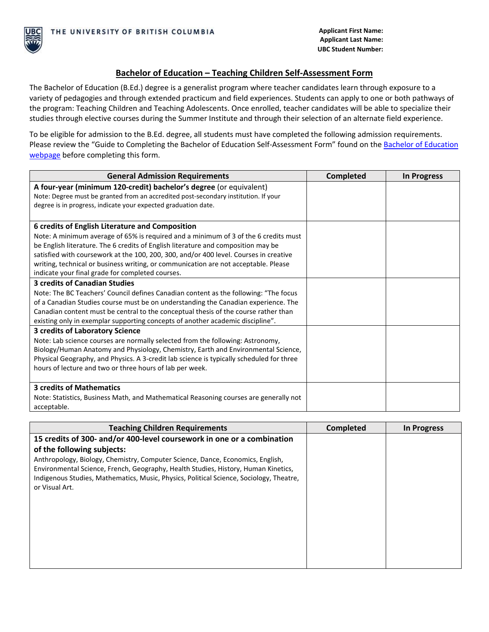## **Bachelor of Education – Teaching Children Self-Assessment Form**

The Bachelor of Education (B.Ed.) degree is a generalist program where teacher candidates learn through exposure to a variety of pedagogies and through extended practicum and field experiences. Students can apply to one or both pathways of the program: Teaching Children and Teaching Adolescents. Once enrolled, teacher candidates will be able to specialize their studies through elective courses during the Summer Institute and through their selection of an alternate field experience.

To be eligible for admission to the B.Ed. degree, all students must have completed the following admission requirements. Please review the "Guide to Completing th[e Bachelor of Education](https://education.ok.ubc.ca/degrees-programs/bachelor-of-education/) Self-Assessment Form" found on the Bachelor of Education [webpage](https://education.ok.ubc.ca/degrees-programs/bachelor-of-education/) before completing this form.

| <b>General Admission Requirements</b>                                                    | <b>Completed</b> | In Progress |
|------------------------------------------------------------------------------------------|------------------|-------------|
| A four-year (minimum 120-credit) bachelor's degree (or equivalent)                       |                  |             |
| Note: Degree must be granted from an accredited post-secondary institution. If your      |                  |             |
| degree is in progress, indicate your expected graduation date.                           |                  |             |
|                                                                                          |                  |             |
| 6 credits of English Literature and Composition                                          |                  |             |
| Note: A minimum average of 65% is required and a minimum of 3 of the 6 credits must      |                  |             |
| be English literature. The 6 credits of English literature and composition may be        |                  |             |
| satisfied with coursework at the 100, 200, 300, and/or 400 level. Courses in creative    |                  |             |
| writing, technical or business writing, or communication are not acceptable. Please      |                  |             |
| indicate your final grade for completed courses.                                         |                  |             |
| <b>3 credits of Canadian Studies</b>                                                     |                  |             |
| Note: The BC Teachers' Council defines Canadian content as the following: "The focus     |                  |             |
| of a Canadian Studies course must be on understanding the Canadian experience. The       |                  |             |
| Canadian content must be central to the conceptual thesis of the course rather than      |                  |             |
| existing only in exemplar supporting concepts of another academic discipline".           |                  |             |
| 3 credits of Laboratory Science                                                          |                  |             |
| Note: Lab science courses are normally selected from the following: Astronomy,           |                  |             |
| Biology/Human Anatomy and Physiology, Chemistry, Earth and Environmental Science,        |                  |             |
| Physical Geography, and Physics. A 3-credit lab science is typically scheduled for three |                  |             |
| hours of lecture and two or three hours of lab per week.                                 |                  |             |
|                                                                                          |                  |             |
| <b>3 credits of Mathematics</b>                                                          |                  |             |
| Note: Statistics, Business Math, and Mathematical Reasoning courses are generally not    |                  |             |
| acceptable.                                                                              |                  |             |

| Completed | In Progress |
|-----------|-------------|
|           |             |
|           |             |
|           |             |
|           |             |
|           |             |
|           |             |
|           |             |
|           |             |
|           |             |
|           |             |
|           |             |
|           |             |
|           |             |
|           |             |